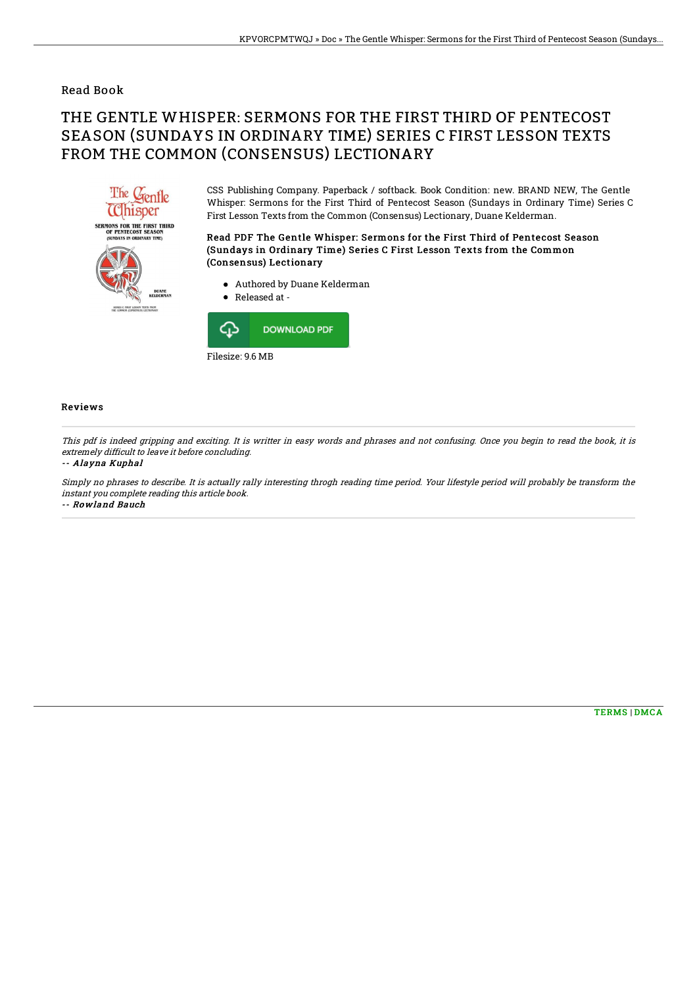### Read Book

# THE GENTLE WHISPER: SERMONS FOR THE FIRST THIRD OF PENTECOST SEASON (SUNDAYS IN ORDINARY TIME) SERIES C FIRST LESSON TEXTS FROM THE COMMON (CONSENSUS) LECTIONARY



CSS Publishing Company. Paperback / softback. Book Condition: new. BRAND NEW, The Gentle Whisper: Sermons for the First Third of Pentecost Season (Sundays in Ordinary Time) Series C First Lesson Texts from the Common (Consensus) Lectionary, Duane Kelderman.

Read PDF The Gentle Whisper: Sermons for the First Third of Pentecost Season (Sundays in Ordinary Time) Series C First Lesson Texts from the Common (Consensus) Lectionary

- Authored by Duane Kelderman
- Released at -



#### Reviews

This pdf is indeed gripping and exciting. It is writter in easy words and phrases and not confusing. Once you begin to read the book, it is extremely difficult to leave it before concluding.

#### -- Alayna Kuphal

Simply no phrases to describe. It is actually rally interesting throgh reading time period. Your lifestyle period will probably be transform the instant you complete reading this article book. -- Rowland Bauch